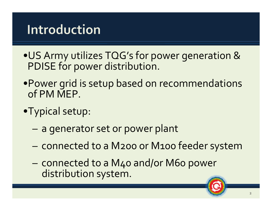# **Introduction**

- •US Army utilizes TQG's for power generation & PDISE for power distribution.
- •Power grid is setup based on recommendations of PM MEP.
- •Typical setup:
	- a generator set or power plant
	- connected to <sup>a</sup> M200 or M100 feeder system
	- connected to <sup>a</sup> M40 and/or M60 power distribution system.

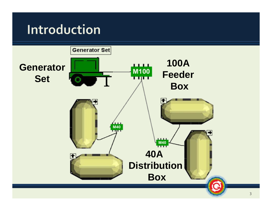# Introduction

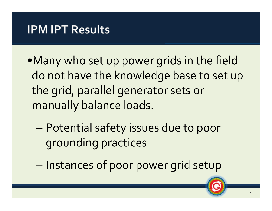- •Many who set up power grids in the field do not have the knowledge base to set up the grid, parallel generator sets or manually balance loads.
	- Potential safety issues due to poor grounding practices
	- Instances of poor power grid setup

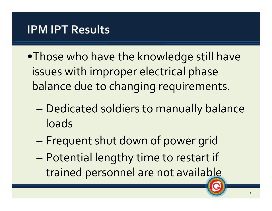- •Those who have the knowledge still have issues with improper electrical phase balance due to changing requirements.
	- – Dedicated soldiers to manually balance loads
	- –Frequent shut down of power grid
	- – Potential lengthy time to restart if trained personnel are not available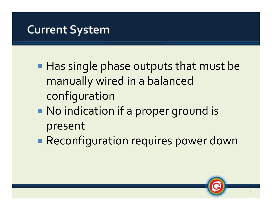- Has single phase outputs that must be manually wired in a balanced configuration
- No indication if a proper ground is present
- Reconfiguration requires power down

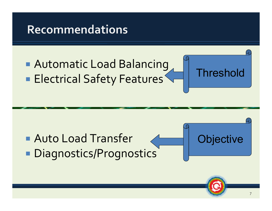#### **Recommendations**

#### Automatic Load Balancing **Electrical Safety Features**

# Auto Load Transfer **• Diagnostics/Prognostics**



Threshold

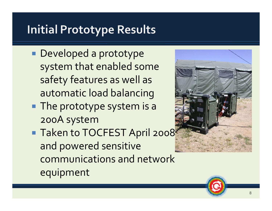# **Initial Prototype Results**

- Developed a prototype system that enabled some safety features as well as automatic load balancing
- The prototype system is a 200A system
- Taken to TOCFEST April 2008 and powered sensitive communications and network equipment



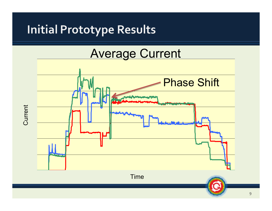#### **Initial Prototype Results**



 $\overline{q}$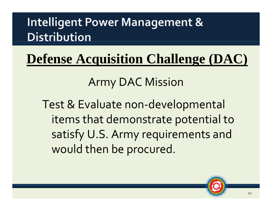# **Defense Acquisition Challenge (DAC)**

# **Army DAC Mission**

Test & Evaluate non-developmental items that demonstrate potential to satisfy U.S. Army requirements and would then be procured.

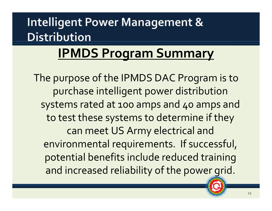# **IPMDS Program Summary**

The purpose of the IPMDS DAC Program is to purchase intelligent power distribution systems rated at <sup>100</sup> amps and 40 amps and to test these systems to determine if they can meet US Army electrical and environmental requirements. If successful, potential benefits include reduced training and increased reliability of the power grid.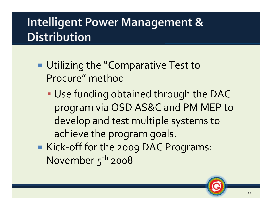- **Utilizing the "Comparative Test to** Procure" method
	- Use funding obtained through the DAC program via OSD AS&C and PM MEP to develop and test multiple systems to achieve the program goals.
- ■ Kick-off for the 2009 DAC Programs: November  $5<sup>th</sup>$  2008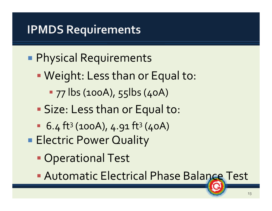#### Physical Requirements

- p. Weight: Less than or Equal to:
	- **77 lbs (100A), 55lbs (40A)**
- Size: Less than or Equal to:
- $\blacksquare$  6.4 ft<sup>3</sup> (100A), 4.91 ft<sup>3</sup> (40A)
- **Electric Power Quality** 
	- **Operational Test**
	- **Automatic Electrical Phase Balance Test**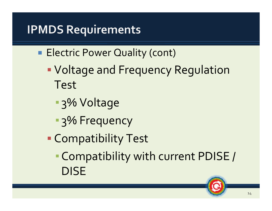- **Electric Power Quality (cont)** 
	- p. Voltage and Frequency Regulation Test
		- 3% Voltage
		- **B**<sub>3</sub>% Frequency
	- Compatibility Test
		- ▪Compatibility with current PDISE / DISE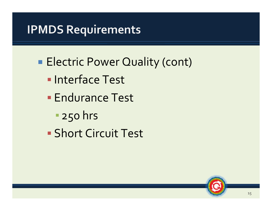- **Electric Power Quality (cont)** 
	- **Interface Test**
	- **Endurance Test** 
		- 250 hrs
	- Short Circuit Test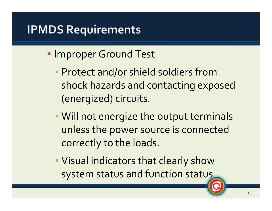#### **Improper Ground Test**

- **Protect and/or shield soldiers from** shock hazards and contacting exposed (energized) circuits.
- Will not energize the output terminals unless the power source is connected correctly to the loads.
- Visual indicators that clearly show system status and function status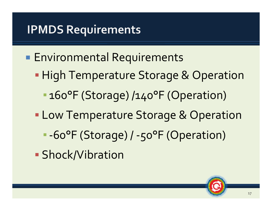- **Environmental Requirements** 
	- p. **High Temperature Storage & Operation** 
		- 160°F (Storage) /140°F (Operation)
	- **Low Temperature Storage & Operation** 
		- -60°F (Storage) / -50°F (Operation)
	- **Shock/Vibration**

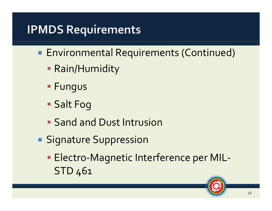- **Environmental Requirements (Continued)** 
	- Rain/Humidity
	- **Fungus**
	- Salt Fog
	- **Sand and Dust Intrusion**
- **Signature Suppression** 
	- Electro-Magnetic Interference per MIL-STD 461

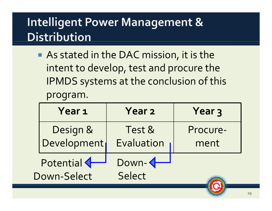As stated in the DAC mission, it is the intent to develop, test and procure the **IPMDS** systems at the conclusion of this program.

| Year <sub>1</sub>                 | <b>Year 2</b>           | Year <sub>3</sub> |
|-----------------------------------|-------------------------|-------------------|
| Design &<br>Development           | Test &<br>Evaluation    | Procure-<br>ment  |
| Potential <<br><b>Down-Select</b> | Down-4<br><b>Select</b> |                   |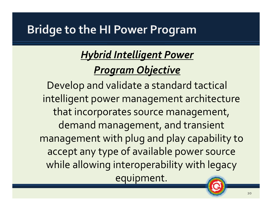#### **Bridge to the HI Power Program**

#### *Hybrid Intelligent Power Program Objective*

Develop and validate <sup>a</sup> standard tactical intelligent power managemen<sup>t</sup> architecture that incorporates source management, demand management, and transient managemen<sup>t</sup> with plug and play capability to accep<sup>t</sup> any type of available power source while allowing interoperability with legacy equipment.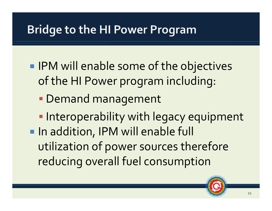#### **Bridge to the HI Power Program**

- **IPM will enable some of the objectives** of the HI Power program including:
	- Demand management
- **Interoperability with legacy equipment In addition, IPM will enable full** utilization of power sources therefore reducing overall fuel consumption

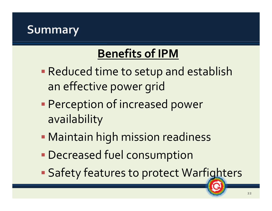#### **Summary**

# **Benefits of IPM**

- Reduced time to setup and establish ann effective power grid
- Perception of increased power availability
- Maintain high mission readiness
- Decreased fuel consumption
- p. **Safety features to protect Warfighters**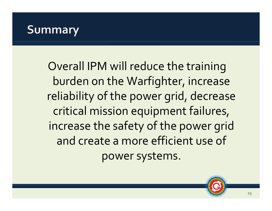#### **Summary**

Overall IPM will reduce the training burden on the Warfighter, increase reliability of the power grid, decrease critical mission equipment failures, increase the safety of the power grid and create <sup>a</sup> more efficient use of power systems.